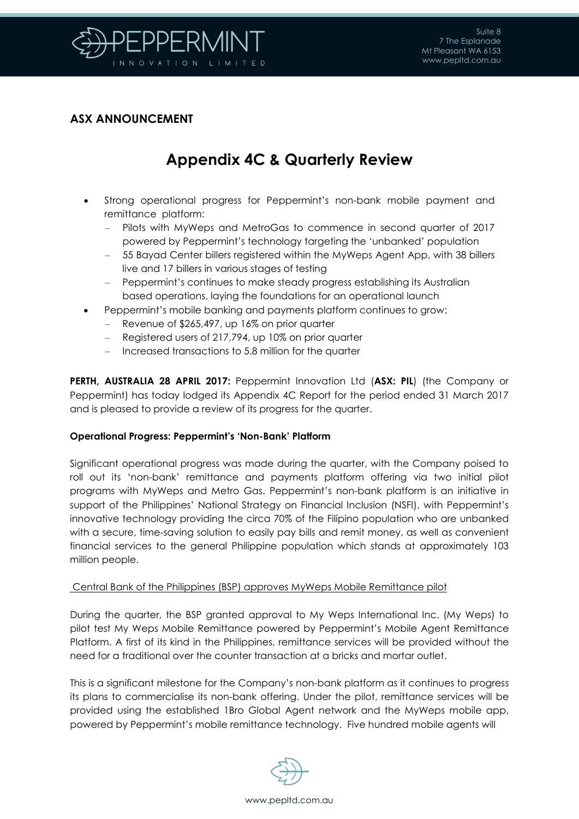

### **ASX ANNOUNCEMENT**

# **Appendix 4C & Quarterly Review**

- Strong operational progress for Peppermint's non-bank mobile payment and remittance platform:
	- Pilots with MyWeps and MetroGas to commence in second quarter of 2017 powered by Peppermint's technology targeting the 'unbanked' population
	- 55 Bayad Center billers registered within the MyWeps Agent App, with 38 billers live and 17 billers in various stages of testing
	- Peppermint's continues to make steady progress establishing its Australian based operations, laying the foundations for an operational launch
- Peppermint's mobile banking and payments platform continues to grow:
	- Revenue of \$265,497, up 16% on prior quarter
	- Registered users of 217,794, up 10% on prior quarter
	- Increased transactions to 5.8 million for the quarter

**PERTH, AUSTRALIA 28 APRIL 2017:** Peppermint Innovation Ltd (**ASX: PIL**) (the Company or Peppermint) has today lodged its Appendix 4C Report for the period ended 31 March 2017 and is pleased to provide a review of its progress for the quarter.

#### **Operational Progress: Peppermint's 'Non-Bank' Platform**

Significant operational progress was made during the quarter, with the Company poised to roll out its 'non-bank' remittance and payments platform offering via two initial pilot programs with MyWeps and Metro Gas. Peppermint's non-bank platform is an initiative in support of the Philippines' National Strategy on Financial Inclusion (NSFI), with Peppermint's innovative technology providing the circa 70% of the Filipino population who are unbanked with a secure, time-saving solution to easily pay bills and remit money, as well as convenient financial services to the general Philippine population which stands at approximately 103 million people.

#### Central Bank of the Philippines (BSP) approves MyWeps Mobile Remittance pilot

During the quarter, the BSP granted approval to My Weps International Inc. (My Weps) to pilot test My Weps Mobile Remittance powered by Peppermint's Mobile Agent Remittance Platform. A first of its kind in the Philippines, remittance services will be provided without the need for a traditional over the counter transaction at a bricks and mortar outlet.

This is a significant milestone for the Company's non-bank platform as it continues to progress its plans to commercialise its non-bank offering. Under the pilot, remittance services will be provided using the established 1Bro Global Agent network and the MyWeps mobile app, powered by Peppermint's mobile remittance technology. Five hundred mobile agents will

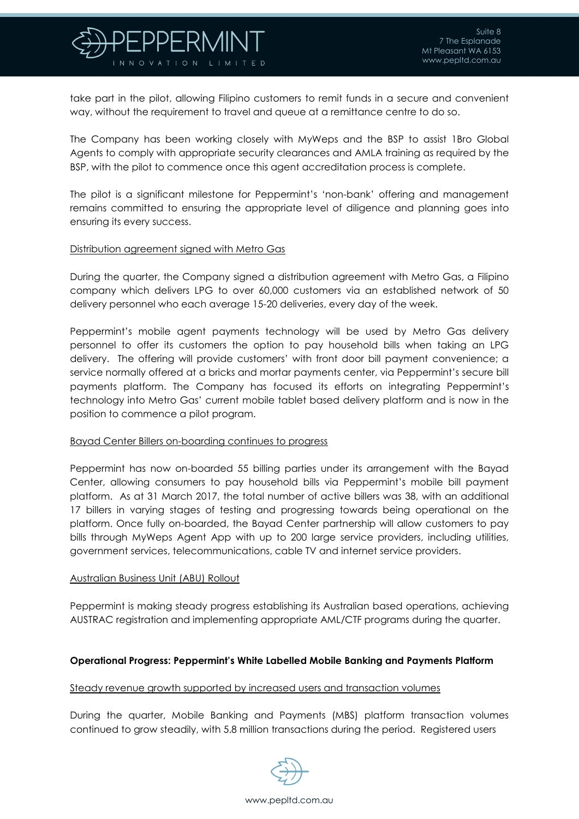

take part in the pilot, allowing Filipino customers to remit funds in a secure and convenient way, without the requirement to travel and queue at a remittance centre to do so.

The Company has been working closely with MyWeps and the BSP to assist 1Bro Global Agents to comply with appropriate security clearances and AMLA training as required by the BSP, with the pilot to commence once this agent accreditation process is complete.

The pilot is a significant milestone for Peppermint's 'non-bank' offering and management remains committed to ensuring the appropriate level of diligence and planning goes into ensuring its every success.

#### Distribution agreement signed with Metro Gas

During the quarter, the Company signed a distribution agreement with Metro Gas, a Filipino company which delivers LPG to over 60,000 customers via an established network of 50 delivery personnel who each average 15-20 deliveries, every day of the week.

Peppermint's mobile agent payments technology will be used by Metro Gas delivery personnel to offer its customers the option to pay household bills when taking an LPG delivery. The offering will provide customers' with front door bill payment convenience; a service normally offered at a bricks and mortar payments center, via Peppermint's secure bill payments platform. The Company has focused its efforts on integrating Peppermint's technology into Metro Gas' current mobile tablet based delivery platform and is now in the position to commence a pilot program.

#### Bayad Center Billers on-boarding continues to progress

Peppermint has now on-boarded 55 billing parties under its arrangement with the Bayad Center, allowing consumers to pay household bills via Peppermint's mobile bill payment platform. As at 31 March 2017, the total number of active billers was 38, with an additional 17 billers in varying stages of testing and progressing towards being operational on the platform. Once fully on-boarded, the Bayad Center partnership will allow customers to pay bills through MyWeps Agent App with up to 200 large service providers, including utilities, government services, telecommunications, cable TV and internet service providers.

#### Australian Business Unit (ABU) Rollout

Peppermint is making steady progress establishing its Australian based operations, achieving AUSTRAC registration and implementing appropriate AML/CTF programs during the quarter.

#### **Operational Progress: Peppermint's White Labelled Mobile Banking and Payments Platform**

#### Steady revenue growth supported by increased users and transaction volumes

During the quarter, Mobile Banking and Payments (MBS) platform transaction volumes continued to grow steadily, with 5.8 million transactions during the period. Registered users

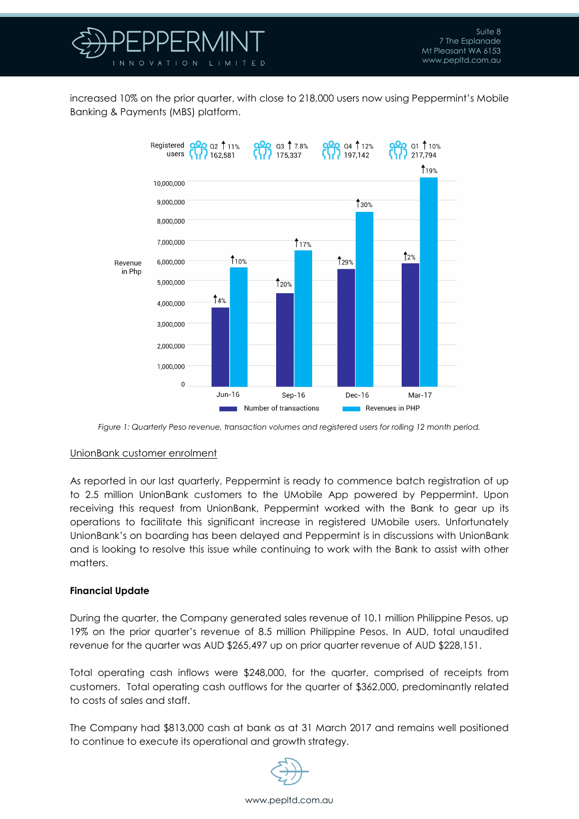

increased 10% on the prior quarter, with close to 218,000 users now using Peppermint's Mobile Banking & Payments (MBS) platform.



*Figure 1: Quarterly Peso revenue, transaction volumes and registered users for rolling 12 month period.*

#### UnionBank customer enrolment

As reported in our last quarterly, Peppermint is ready to commence batch registration of up to 2.5 million UnionBank customers to the UMobile App powered by Peppermint. Upon receiving this request from UnionBank, Peppermint worked with the Bank to gear up its operations to facilitate this significant increase in registered UMobile users. Unfortunately UnionBank's on boarding has been delayed and Peppermint is in discussions with UnionBank and is looking to resolve this issue while continuing to work with the Bank to assist with other matters.

#### **Financial Update**

During the quarter, the Company generated sales revenue of 10.1 million Philippine Pesos, up 19% on the prior quarter's revenue of 8.5 million Philippine Pesos. In AUD, total unaudited revenue for the quarter was AUD \$265,497 up on prior quarter revenue of AUD \$228,151.

Total operating cash inflows were \$248,000, for the quarter, comprised of receipts from customers. Total operating cash outflows for the quarter of \$362,000, predominantly related to costs of sales and staff.

The Company had \$813,000 cash at bank as at 31 March 2017 and remains well positioned to continue to execute its operational and growth strategy.

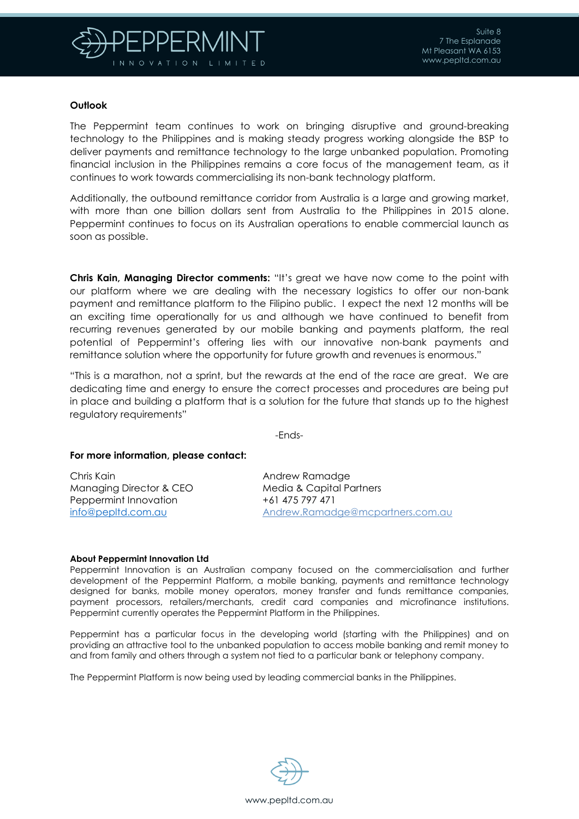

#### **Outlook**

The Peppermint team continues to work on bringing disruptive and ground-breaking technology to the Philippines and is making steady progress working alongside the BSP to deliver payments and remittance technology to the large unbanked population. Promoting financial inclusion in the Philippines remains a core focus of the management team, as it continues to work towards commercialising its non-bank technology platform.

Additionally, the outbound remittance corridor from Australia is a large and growing market, with more than one billion dollars sent from Australia to the Philippines in 2015 alone. Peppermint continues to focus on its Australian operations to enable commercial launch as soon as possible.

**Chris Kain, Managing Director comments:** "It's great we have now come to the point with our platform where we are dealing with the necessary logistics to offer our non-bank payment and remittance platform to the Filipino public. I expect the next 12 months will be an exciting time operationally for us and although we have continued to benefit from recurring revenues generated by our mobile banking and payments platform, the real potential of Peppermint's offering lies with our innovative non-bank payments and remittance solution where the opportunity for future growth and revenues is enormous."

"This is a marathon, not a sprint, but the rewards at the end of the race are great. We are dedicating time and energy to ensure the correct processes and procedures are being put in place and building a platform that is a solution for the future that stands up to the highest regulatory requirements"

-Ends-

#### **For more information, please contact:**

Chris Kain Managing Director & CEO Peppermint Innovation [info@pepltd.com.au](mailto:info@pepltd.com.au)

Andrew Ramadge Media & Capital Partners +61 475 797 471 [Andrew.Ramadge@mcpartners.com.au](mailto:Andrew.Ramadge@mcpartners.com.au)

#### **About Peppermint Innovation Ltd**

Peppermint Innovation is an Australian company focused on the commercialisation and further development of the Peppermint Platform, a mobile banking, payments and remittance technology designed for banks, mobile money operators, money transfer and funds remittance companies, payment processors, retailers/merchants, credit card companies and microfinance institutions. Peppermint currently operates the Peppermint Platform in the Philippines.

Peppermint has a particular focus in the developing world (starting with the Philippines) and on providing an attractive tool to the unbanked population to access mobile banking and remit money to and from family and others through a system not tied to a particular bank or telephony company.

The Peppermint Platform is now being used by leading commercial banks in the Philippines.

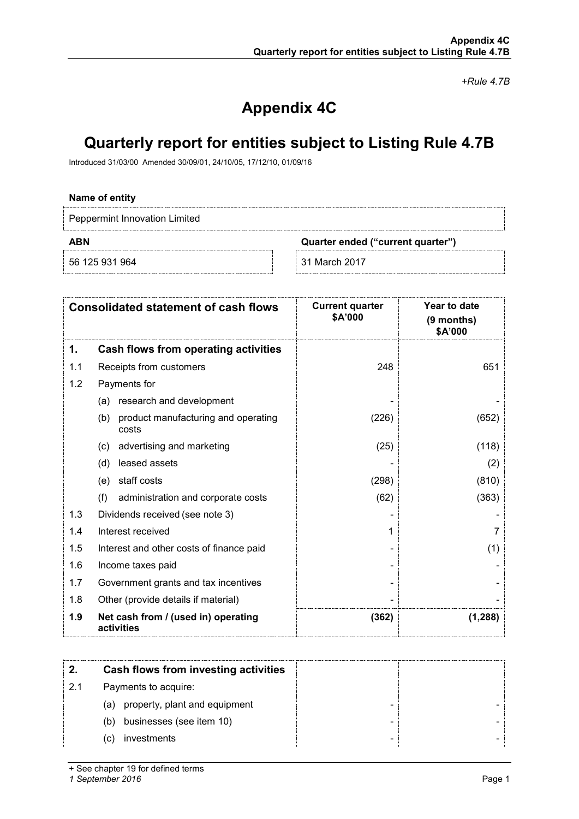*+Rule 4.7B*

# **Appendix 4C**

## **Quarterly report for entities subject to Listing Rule 4.7B**

Introduced 31/03/00 Amended 30/09/01, 24/10/05, 17/12/10, 01/09/16

### **Name of entity**

Peppermint Innovation Limited

56 125 931 964 31 March 2017

**ABN Quarter ended ("current quarter")**

|     | <b>Consolidated statement of cash flows</b>         | <b>Current quarter</b><br><b>\$A'000</b> | <b>Year to date</b><br>(9 months)<br>\$A'000 |
|-----|-----------------------------------------------------|------------------------------------------|----------------------------------------------|
| 1.  | <b>Cash flows from operating activities</b>         |                                          |                                              |
| 1.1 | Receipts from customers                             | 248                                      | 651                                          |
| 1.2 | Payments for                                        |                                          |                                              |
|     | research and development<br>(a)                     |                                          |                                              |
|     | product manufacturing and operating<br>(b)<br>costs | (226)                                    | (652)                                        |
|     | advertising and marketing<br>(c)                    | (25)                                     | (118)                                        |
|     | leased assets<br>(d)                                |                                          | (2)                                          |
|     | staff costs<br>(e)                                  | (298)                                    | (810)                                        |
|     | (f)<br>administration and corporate costs           | (62)                                     | (363)                                        |
| 1.3 | Dividends received (see note 3)                     |                                          |                                              |
| 1.4 | Interest received                                   |                                          |                                              |
| 1.5 | Interest and other costs of finance paid            |                                          | (1)                                          |
| 1.6 | Income taxes paid                                   |                                          |                                              |
| 1.7 | Government grants and tax incentives                |                                          |                                              |
| 1.8 | Other (provide details if material)                 |                                          |                                              |
| 1.9 | Net cash from / (used in) operating<br>activities   | (362)                                    | (1,288)                                      |

|    | Cash flows from investing activities |  |
|----|--------------------------------------|--|
| 21 | Payments to acquire:                 |  |
|    | property, plant and equipment<br>(a) |  |
|    | businesses (see item 10)<br>(b)      |  |
|    | investments<br>(C)                   |  |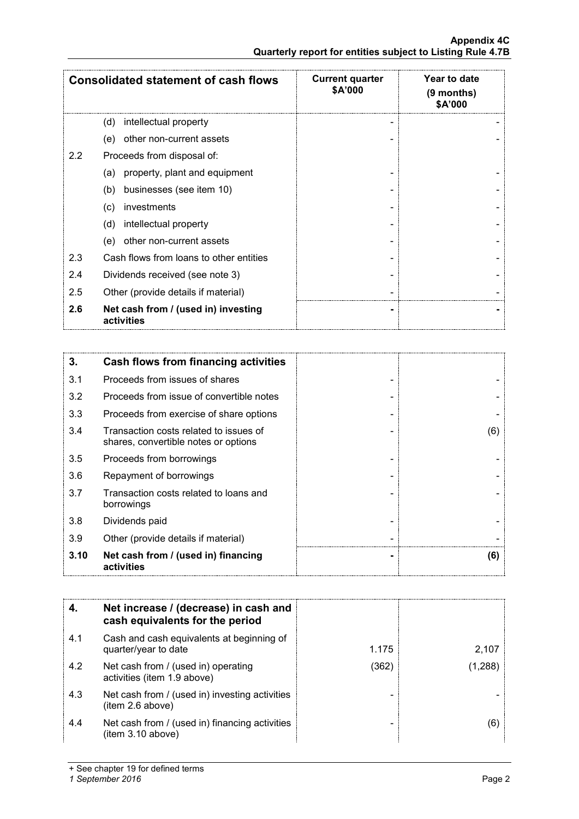| <b>Consolidated statement of cash flows</b> |                                                   | <b>Current quarter</b><br>\$A'000 | Year to date<br>$(9$ months)<br>\$A'000 |
|---------------------------------------------|---------------------------------------------------|-----------------------------------|-----------------------------------------|
|                                             | intellectual property<br>(d)                      |                                   |                                         |
|                                             | (e)<br>other non-current assets                   |                                   |                                         |
| 2.2                                         | Proceeds from disposal of:                        |                                   |                                         |
|                                             | property, plant and equipment<br>(a)              |                                   |                                         |
|                                             | businesses (see item 10)<br>(b)                   |                                   |                                         |
|                                             | investments<br>(c)                                |                                   |                                         |
|                                             | intellectual property<br>(d)                      |                                   |                                         |
|                                             | other non-current assets<br>(e)                   |                                   |                                         |
| 2.3                                         | Cash flows from loans to other entities           |                                   |                                         |
| 2.4                                         | Dividends received (see note 3)                   |                                   |                                         |
| 2.5                                         | Other (provide details if material)               |                                   |                                         |
| 2.6                                         | Net cash from / (used in) investing<br>activities |                                   |                                         |

| 3.   | Cash flows from financing activities                                           |     |
|------|--------------------------------------------------------------------------------|-----|
| 3.1  | Proceeds from issues of shares                                                 |     |
| 3.2  | Proceeds from issue of convertible notes                                       |     |
| 3.3  | Proceeds from exercise of share options                                        |     |
| 3.4  | Transaction costs related to issues of<br>shares, convertible notes or options | (6) |
| 3.5  | Proceeds from borrowings                                                       |     |
| 3.6  | Repayment of borrowings                                                        |     |
| 3.7  | Transaction costs related to loans and<br>borrowings                           |     |
| 3.8  | Dividends paid                                                                 |     |
| 3.9  | Other (provide details if material)                                            |     |
| 3.10 | Net cash from / (used in) financing<br>activities                              | (6) |

|     | Net increase / (decrease) in cash and<br>cash equivalents for the period |       |                               |
|-----|--------------------------------------------------------------------------|-------|-------------------------------|
| 4.1 | Cash and cash equivalents at beginning of<br>quarter/year to date        | 1.175 | 2,107                         |
| 4.2 | Net cash from / (used in) operating<br>activities (item 1.9 above)       | (362) | $^{\prime}$ 1.288 $^{\prime}$ |
| 4.3 | Net cash from / (used in) investing activities<br>item 2.6 above)        |       |                               |
| 4.4 | Net cash from / (used in) financing activities<br>(item 3.10 above)      |       | (6)                           |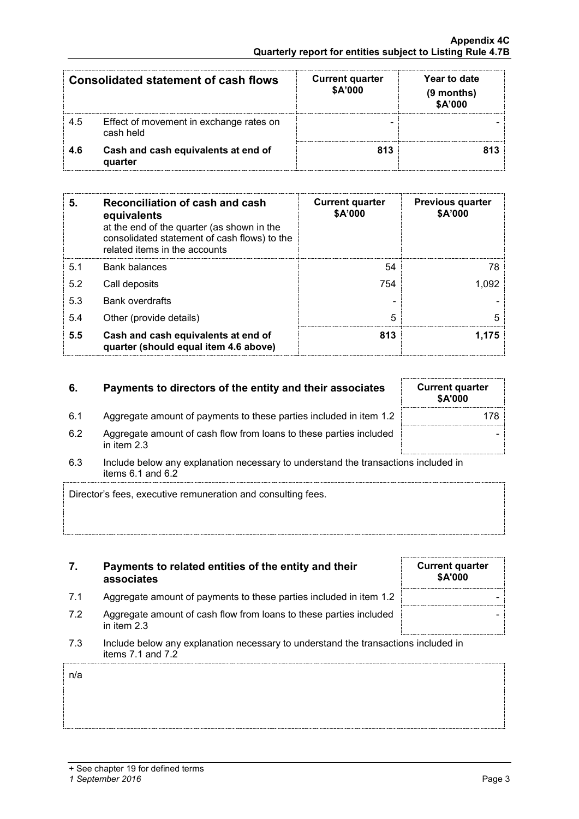n/a

| Consolidated statement of cash flows |                                                      | <b>Current quarter</b><br>\$A'000 | Year to date<br>(9 months)<br>\$A'000 |
|--------------------------------------|------------------------------------------------------|-----------------------------------|---------------------------------------|
| 4.5                                  | Effect of movement in exchange rates on<br>cash held |                                   |                                       |
| 46                                   | Cash and cash equivalents at end of<br>quarter       | 813                               |                                       |

| 5.  | Reconciliation of cash and cash<br>equivalents<br>at the end of the quarter (as shown in the<br>consolidated statement of cash flows) to the<br>related items in the accounts | <b>Current quarter</b><br>\$A'000 | <b>Previous quarter</b><br>\$A'000 |
|-----|-------------------------------------------------------------------------------------------------------------------------------------------------------------------------------|-----------------------------------|------------------------------------|
| 51  | Bank balances                                                                                                                                                                 | 54                                | 78                                 |
| 5.2 | Call deposits                                                                                                                                                                 | 754                               | 1.092                              |
| 5.3 | <b>Bank overdrafts</b>                                                                                                                                                        |                                   |                                    |
| 5.4 | Other (provide details)                                                                                                                                                       | 5                                 |                                    |
| 5.5 | Cash and cash equivalents at end of<br>quarter (should equal item 4.6 above)                                                                                                  | 813                               |                                    |

### **6. Payments to directors of the entity and their associates Current Guarter**

- 6.1 Aggregate amount of payments to these parties included in item 1.2 | Aggregate amount of payments to these parties included in item 1.2
- 6.2 Aggregate amount of cash flow from loans to these parties included in item 2.3
- 6.3 Include below any explanation necessary to understand the transactions included in items 6.1 and 6.2

Director's fees, executive remuneration and consulting fees.

| 7. | Payments to related entities of the entity and their |
|----|------------------------------------------------------|
|    | associates                                           |

- 7.1 Aggregate amount of payments to these parties included in item 1.2
- 7.2 Aggregate amount of cash flow from loans to these parties included in item 2.3
- 7.3 Include below any explanation necessary to understand the transactions included in items 7.1 and 7.2

|                                  | 1,175 |  |
|----------------------------------|-------|--|
|                                  |       |  |
| urrent quarter<br><b>\$A'000</b> |       |  |

-

| <b>Current quarter</b><br>\$A'000 |  |
|-----------------------------------|--|
|                                   |  |
|                                   |  |
|                                   |  |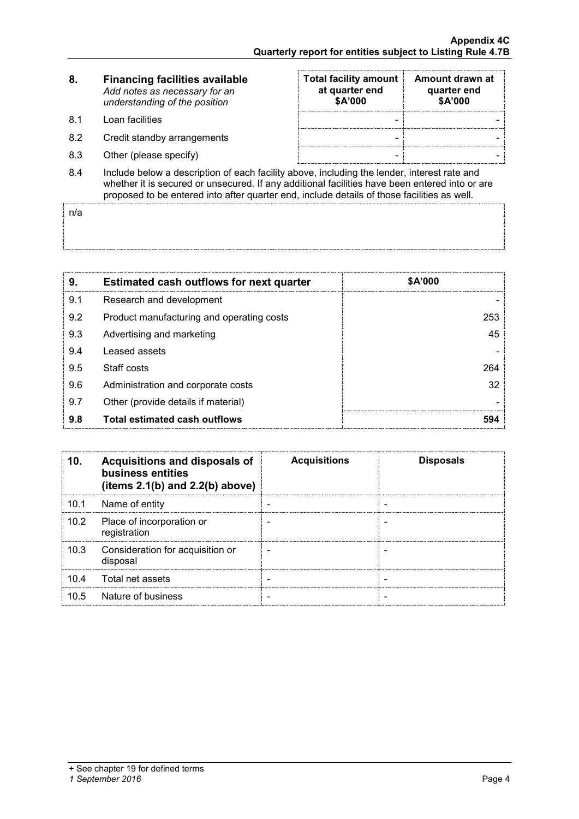| <b>Financing facilities available</b><br>8. |                               |
|---------------------------------------------|-------------------------------|
|                                             | Add notes as necessary for an |
|                                             | understanding of the position |

- 8.1 Loan facilities
- 8.2 Credit standby arrangements
- 8.3 Other (please specify)

| <b>Total facility amount</b><br>at quarter end<br>\$A'000 | Amount drawn at<br>quarter end<br>\$A'000 |
|-----------------------------------------------------------|-------------------------------------------|
|                                                           |                                           |
|                                                           |                                           |
|                                                           |                                           |

8.4 Include below a description of each facility above, including the lender, interest rate and whether it is secured or unsecured. If any additional facilities have been entered into or are proposed to be entered into after quarter end, include details of those facilities as well.

n/a

| 9.  | <b>Estimated cash outflows for next quarter</b> | \$A'000 |
|-----|-------------------------------------------------|---------|
| 9.1 | Research and development                        |         |
| 9.2 | Product manufacturing and operating costs       | 253     |
| 9.3 | Advertising and marketing                       | 45      |
| 9.4 | Leased assets                                   |         |
| 9.5 | Staff costs                                     | 264     |
| 9.6 | Administration and corporate costs              | 32      |
| 9.7 | Other (provide details if material)             |         |
| 9.8 | Total estimated cash outflows                   |         |

|      | Acquisitions and disposals of<br>business entities<br>(items $2.1(b)$ and $2.2(b)$ above) | <b>Acquisitions</b> | <b>Disposals</b> |
|------|-------------------------------------------------------------------------------------------|---------------------|------------------|
| 10.1 | Name of entity                                                                            |                     |                  |
| 10.2 | Place of incorporation or<br>registration                                                 |                     |                  |
| 10.3 | Consideration for acquisition or<br>disposal                                              |                     |                  |
| 10.4 | Total net assets                                                                          |                     |                  |
| 10 5 | Nature of business                                                                        |                     |                  |